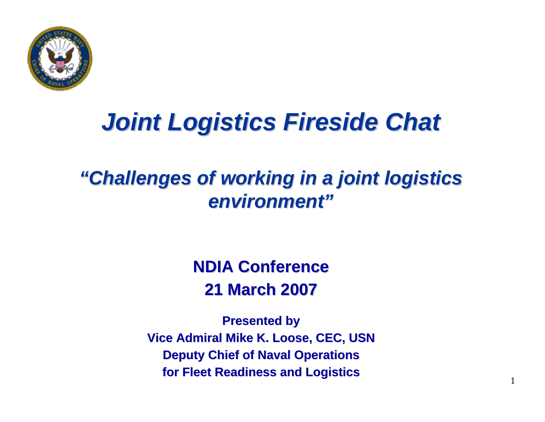

# *Joint Logistics Fireside Chat Joint Logistics Fireside Chat*

#### *"Challenges of working in a joint logistics "Challenges of working in a joint logistics environment" environment"*

#### **NDIA Conference NDIA Conference21 March 2007 21 March 2007**

**Presented by Presented by Vice Admiral Mike K. Loose, CEC, USN Vice Admiral Mike K. Loose, CEC, USN Deputy Chief of Naval Operations for Fleet Readiness and Logistics for Fleet Readiness and Logistics**

1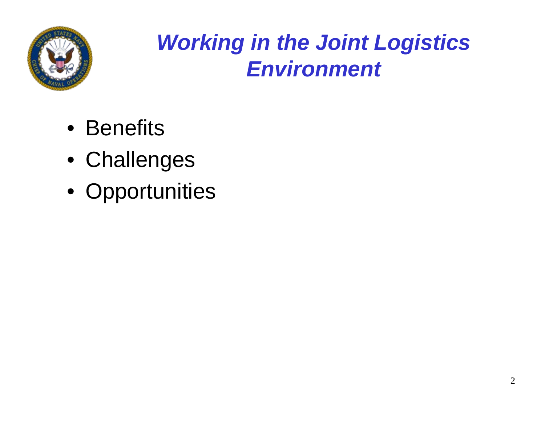

- Benefits
- Challenges
- Opportunities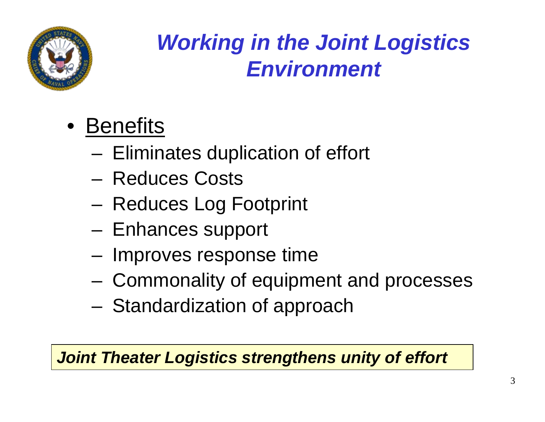

- Benefits
	- and the state of the state Eliminates duplication of effort
	- Reduces Costs
	- and the state of the state Reduces Log Footprint
	- and the state of the state Enhances support
	- –Improves response time
	- and the state of the state Commonality of equipment and processes
	- and the state of the state Standardization of approach

#### *Joint Theater Logistics strengthens unity of effort*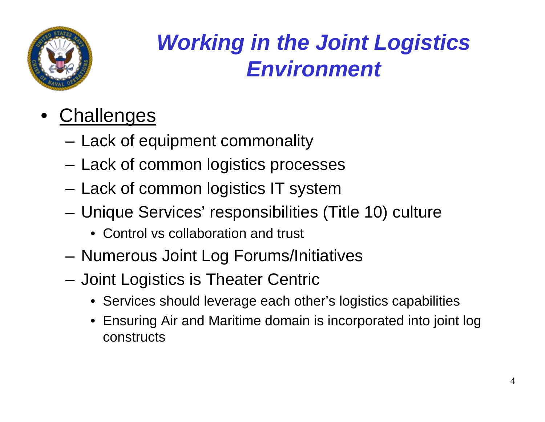

- •**Challenges** 
	- Lack of equipment commonality
	- –Lack of common logistics processes
	- –Lack of common logistics IT system
	- – Unique Services' responsibilities (Title 10) culture
		- Control vs collaboration and trust
	- Numerous Joint Log Forums/Initiatives
	- Joint Logistics is Theater Centric
		- Services should leverage each other's logistics capabilities
		- Ensuring Air and Maritime domain is incorporated into joint log constructs